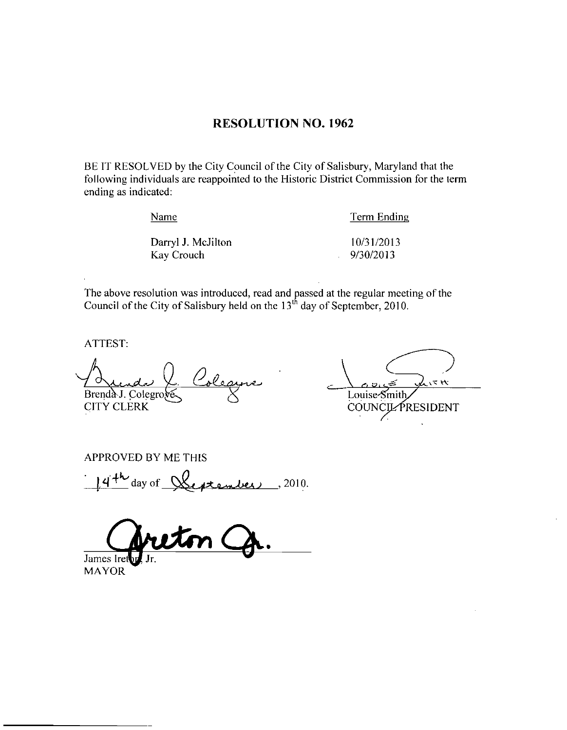### RESOLUTION NO. 1962

BE IT RESOLVED by the City Council of the City of Salisbury, Maryland that the following individuals are reappointed to the Historic District Commission for the term ending as indicated

Exame<br>
Darryl J. McJilton 10/31/2013<br>
Kay Crouch 9/30/2013 Examedia<br>
Namedia<br>
Darryl J. McJilton (10/31/2013)<br>
Kay Crouch (9/30/2013)

Name Term Ending

The above resolution was introduced, read and passed at the regular meeting of the Council of the City of Salisbury held on the  $13<sup>th</sup>$  day of September, 2010.

ATTEST

<u>I Lunda Y</u> Colegure CITY CLERK

 $15H$ Louise-Smith **COUNCIL PRESIDENT** 

APPROVED BY ME THIS

 $4^{+1}$ ED BY ME THIS<br>day of  $\sqrt{\xi_{\text{e}}+\xi_{\text{e}}+\xi_{\text{e}}}/2010$ .

James Iret

MAYOR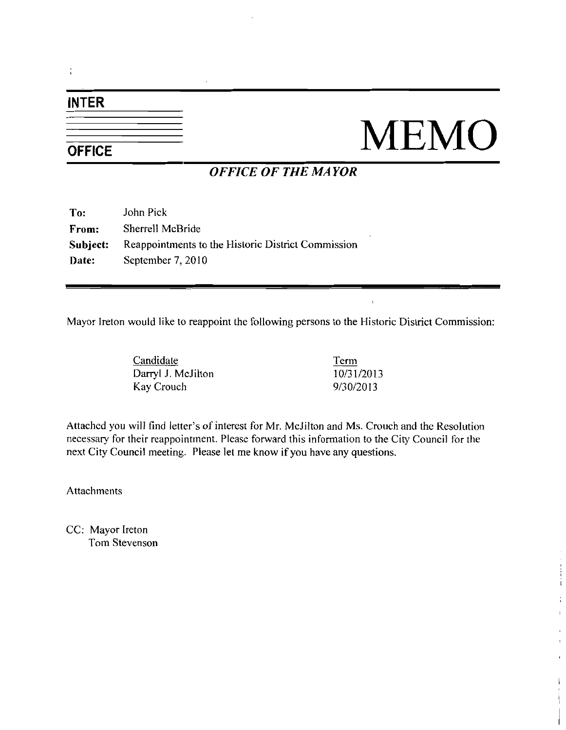# INTER

# $\frac{1}{\frac{1}{\text{OFFICE}}}$  MEMO

i

# OFFICE OF THE MAYOR

| To:          | John Pick                                          |
|--------------|----------------------------------------------------|
| From:        | Sherrell McBride                                   |
| Subject:     | Reappointments to the Historic District Commission |
| <b>Date:</b> | September 7, 2010                                  |

Mayor Ireton would like to reappoint the following persons to the Historic District Commission

Candidate Darryl J. McJilton Kay Crouch

Term  $\frac{\text{Term}}{10/31/2013}$ <br>9/30/2013 <u>Term</u><br>10/31/2013<br>9/30/2013 <u>Term</u><br>10/31/2013<br>9/30/2013

 $\mathbf{t}$ 

Kay Crouch<br>
Attached you will find letter's of interest for Mr. McJilton and Ms. Crouch and the Resolution necessary for their reappointment. Please forward this information to the City Council for the next City Council meeting. Please let me know if you have any questions.

Attachments

CC: Mayor Ireton Tom Stevenson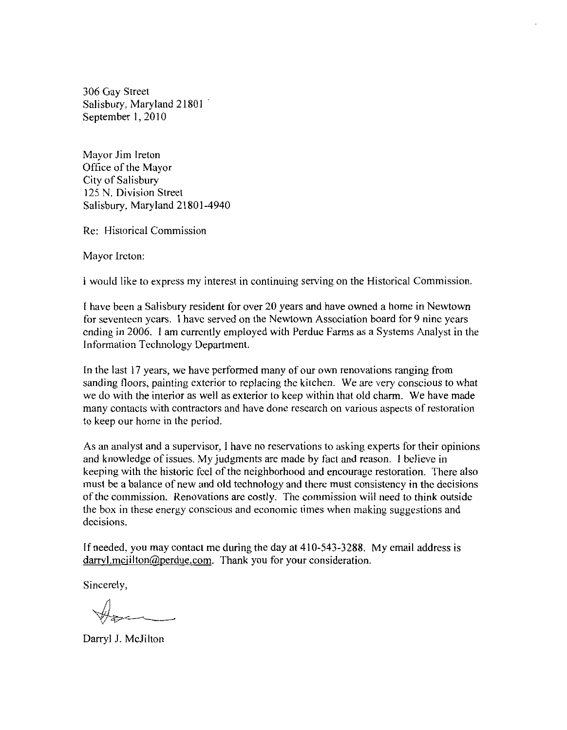306 Gay Street Salisbury, Maryland 21801 September 1, 2010

Mayor Jim Ireton Office of the Mayor City of Salisbury 125 N. Division Street Salisbury, Maryland 21801-4940

Re: Historical Commission

Mayor Ireton

<sup>1</sup> would like to express my interest in continuing serving on the Historical Commission

have been aSalisbury resident for over 20 years and have owned <sup>a</sup> home in Newtown for seventeen years <sup>I</sup> have served on the Newtown Association board for 9 nine yeazs ending in 2006. 1 am currently employed with Perdue Farms as a Systems Analyst in the Information Technology Department.

In the last 17 years, we have performed many of our own renovations ranging from sanding floors, painting exterior to replacing the kitchen. We are very conscious to what we do with the interior as well as exterior to keep within that old charm. We have made many contacts with contractors and have done research on various aspects ofrestoration to keep our home in the period

As an analyst and a supervisor, I have no reservations to asking experts for their opinions and knowledge of issues. My judgments are made by fact and reason. I believe in keeping with the historic feel of the neighborhood and encourage restoration. There also must be a balance of new and old technology and there must consistency in the decisions of the commission. Renovations are costly. The commission will need to think outside the box in these energy conscious and economic times when making suggestions and decisions. In the last 17 years, we have performed many of our own renova<br>sanding floors, painting exterior to replacing the kitchen. We are<br>we do with the interior as well as exterior to keep within that old<br>many contacts with cont

If needed, you may contact me during the day at  $410-543-3288$ . My email address is darryl.mcjilton@perdue.com. Thank you for your consideration.

Sincerely,

Darryl J. McJilton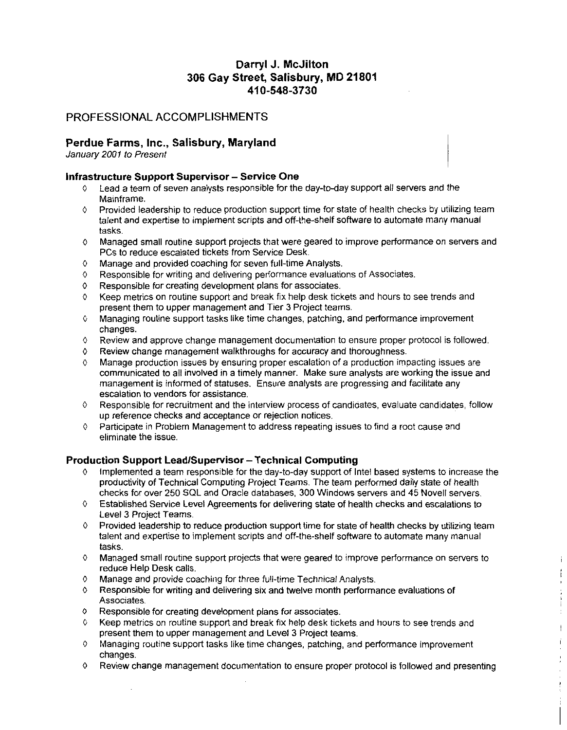## Darryl J. McJilton 306 Gay Street, Salisbury, MD 21801 irryl J. McJilto<br>eet, Salisbury<br>410-548-3730

#### PROFESSIONAL ACCOMPLISHMENTS

#### Perdue Farms, Inc., Salisbury, Maryland

January 2001 to Present

#### Infrastructure Support Supervisor - Service One

- Lead a team of seven analysts responsible for the day-to-day support all servers and the Mainframe
- $\Diamond$  Provided leadership to reduce production support time for state of health checks by utilizing team Lead a team of seven analysts responsible for the day-to-day support all servers and the<br>Mainframe.<br>Provided leadership to reduce production support time for state of health checks by utilizing te:<br>talent and expertise to tasks
- 0 Managed small routine support projects that were geared to improve pertormance on servers and PCs to reduce escalated tickets from Service Desk
- $0$  Manage and provided coaching for seven full-time Analysts.<br>  $0$  Responsible for writing and delivering performance evaluation
- Responsible for writing and delivering performance evaluations of Associates.
- <sup>0</sup> Responsible for creating development plans for associates
- $\Diamond$  Keep metrics on routine support and break fix help desk tickets and hours to see trends and present them to upper management and Tier 3 Project teams
- 0 Managing routine support tasks like time changes patching and pertormance improvement changes
- $\circ$  Review and approve change management documentation to ensure proper protocol is followed.<br> $\circ$  Review change management walkthroughs for accuracy and thoroughness
- $\theta$  Review change management walkthroughs for accuracy and thoroughness.<br>  $\theta$  Manage production issues by ensuring proper escalation of a production im-
- Manage production issues by ensuring proper escalation of a production impacting issues are communicated to all involved in a timely manner. Make sure analysts are working the issue and management is informed of statuses Ensure analysts are progressing and facilitate any escalation to vendors for assistance
- $\Diamond$  Responsible for recruitment and the interview process of candidates, evaluate candidates, follow up reference checks and acceptance or rejection notices
- 0 Participate in Problem Management to address repeating issues to find a root cause and eliminate the issue

- eliminate the issue.<br>Production Support Lead/Supervisor Technical Computing<br>↓ Implemented a team responsible for the day-to-day support of Intel based systems to increase the<br>productivity of Technical Computing Project checks for over 250 SQL and Oracle databases, 300 Windows servers and 45 Novell servers.
	- <sup>0</sup> Established Service Level Agreements for delivering state of health checks and escalations to Level 3 Project Teams
	- $\Diamond$  Provided leadership to reduce production support time for state of health checks by utilizing team talent and expertise to implement scripts and off-the-shelf software to automate many manual tasks
	- <sup>0</sup> Managed small routine support projects that were geared to improve performance on servers to reduce Help Desk calls

j.  $\mathfrak{f}$ 

 $\begin{array}{c} \begin{array}{c} \begin{array}{c} \begin{array}{c} \end{array}\\ \begin{array}{c} \end{array}\\ \begin{array}{c} \end{array}\\ \begin{array}{c} \end{array}\\ \begin{array}{c} \end{array}\\ \begin{array}{c} \end{array}\\ \begin{array}{c} \end{array}\\ \begin{array}{c} \end{array}\\ \begin{array}{c} \end{array}\\ \begin{array}{c} \end{array}\\ \begin{array}{c} \end{array}\\ \begin{array}{c} \end{array}\\ \begin{array}{c} \end{array}\\ \begin{array}{c} \end{array}\\ \begin{array}{c} \end{array}\\ \begin{array}{c} \end{array}\\ \begin{array}{c}$ ÷  $\begin{array}{c} \hline \end{array}$  $\dot{1}$  $\frac{1}{\epsilon}$  $\hat{\mathbf{r}}$ 

- 0 Manage and provide coaching for three full-time Technical Analysts.
- 0 Responsible for writing and delivering six and twelve month performance evaluations of Associates
- $\circ$  Responsible for creating development plans for associates.<br> $\circ$  Keep metrics on routine support and break fix help desk tick
- Keep metrics on routine support and break fix help desk tickets and hours to see trends and present them to upper management and Level 3 Project teams
- 0 Managing routine support tasks like time changes, patching, and performance improvement changes
- <sup>0</sup> Review change management documentation to ensure proper protocol is followed and presenting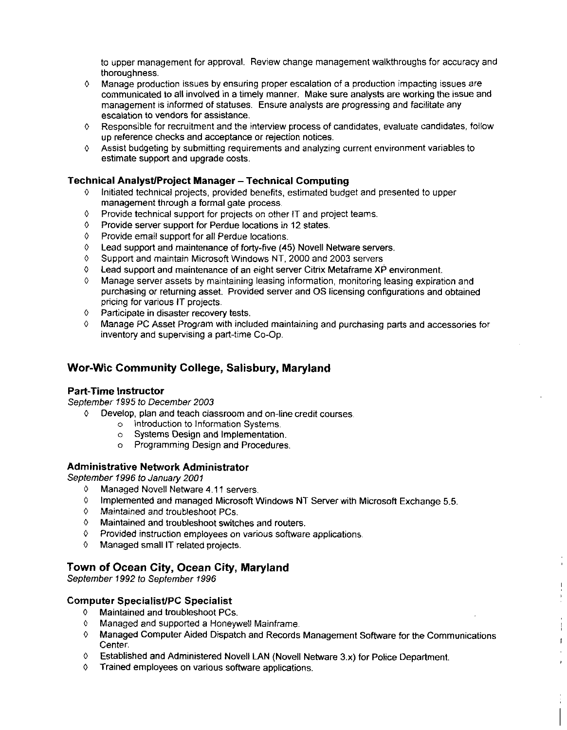to upper management for approval. Review change management walkthroughs for accuracy and thoroughness

- Manage production issues by ensuring proper escalation of a production impacting issues are communicated to all involved in a timely manner. Make sure analysts are working the issue and management is informed of statuses Ensure analysts are progressing and facilitate any escalation to vendors for assistance
- $\Diamond$  Responsible for recruitment and the interview process of candidates, evaluate candidates, follow up reference checks and acceptance or rejection notices
- $\Diamond$  Assist budgeting by submitting requirements and analyzing current environment variables to estimate support and upgrade costs

#### Technical Analyst/Project Manager - Technical Computing

- Initiated technical projects, provided benefits, estimated budget and presented to upper management through a formal gate process
- <sup>0</sup> Provide technical support for projects on other IT and project teams
- 0 Provide server support for Perdue locations in 12 states
- <sup>0</sup> Provide email support for all Perdue locations
- $0$  Lead support and maintenance of forty-five (45) Novell Netware servers.
- <sup>0</sup> Support and maintain Microsoft Windows NT 2000 and 2003 servers
- <sup>0</sup> Lead support and maintenance of an eight server Citrix Metaframe XP environment
- Manage server assets by maintaining leasing information, monitoring leasing expiration and purchasing or returning asset. Provided server and OS licensing configurations and obtained pricing for various IT projects
- <sup>0</sup> Participate in disaster recovery tests
- <sup>0</sup> Manage PC Asset Program with included maintaining and purchasing parts and accessories for inventory and supervising a part-time Co-Op.

#### Wor-Wic Community College, Salisbury, Maryland

#### Part-Time Instructor

September 1995 to December 2003

- $\lozenge$  Develop, plan and teach classroom and on-line credit courses.
	- o Introduction to Information Systems
	- o Systems Design and Implementation
	- <sup>o</sup> Programming Design and Procedures

#### Administrative Network Administrator

September 1996 to January 2001

- 0 Managed Novell Netware 4.11 servers.
- $\circ$  Implemented and managed Microsoft Windows NT Server with Microsoft Exchange 5.5.
- 0 Maintained and troubleshoot PCs
- 0 Maintained and troubleshoot switches and routers
- 0 Provided instruction employees on various software applications
- <sup>0</sup> Managed small IT related projects

#### Town of Ocean City, Ocean City, Maryland

# September 1992 to September 1996<br>
Computer Specialist/PC Specialist<br>  $\Diamond$  Maintained and troubleshoot PC

- 0 Maintained and troubleshoot PCs
- <sup>0</sup> Managed and supported a Honeywell Mainframe
- <sup>0</sup> Managed Computer Aided Dispatch and Records Management Software for the Communications Center

 $\mathbf{f}$ 

- $0$  Established and Administered Novell LAN (Novell Netware 3.x) for Police Department.
- 0 Trained employees on various software applications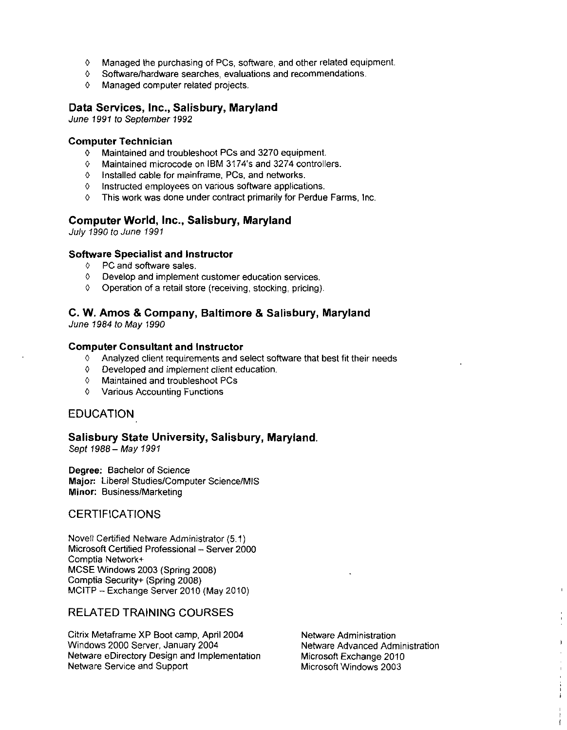- <sup>0</sup> Managed the purchasing of PCs software and other related equipment
- $0$  Software/hardware searches, evaluations and recommendations.
- <sup>0</sup> Managed computer related projects

#### Data Services, Inc., Salisbury, Maryland

June 1991 to September 1992

#### Computer Technician

- <sup>0</sup> Maintained and troubleshoot PCs and 3270 equipment
- or restricts deplember 1992<br>
nputer Technician<br>
↑ Maintained and troubleshoot PCs and 3270 equipment.<br>
↑ Maintained microcode on IBM 3174's and 3274 controllers<br>
↑ Installed cable for mainframe, PCs, and networks.
- $0$  Installed cable for mainframe, PCs, and networks.
- 0 Instructed employees on various software applications
- $0$  This work was done under contract primarily for Perdue Farms, Inc.

#### Computer World, Inc., Salisbury, Maryland

July 1990 to June 1991

#### Software Specialist and Instructor

- 0 PC and software sales
- <sup>0</sup> Develop and implement customer education services
- $\lozenge$  Operation of a retail store (receiving, stocking, pricing).

## C. W. Amos & Company, Baltimore & Salisbury, Maryland

June 1984 to May 1990

#### Computer Consultant and Instructor

- <sup>0</sup> Analyzed client requirements and select software that best fit their needs
- <sup>0</sup> Developed and implement client education
- <sup>0</sup> Maintained and troubleshoot PCs
- <sup>0</sup> Various Accounting Functions

#### EDUCATION

#### Salisbury State University, Salisbury, Maryland.

Sept 1988 - May 1991

Degree: Bachelor of Science Major: Liberal Studies/Computer Science/MIS Minor: Business/Marketing

#### **CERTIFICATIONS**

Novell Certified Netware Administrator (5.1) Microsoft Certified Professional - Server 2000 Comptia Network MCSE Windows 2003 (Spring 2008) Comptia Security+ (Spring 2008) MCITP - Exchange Server 2010 (May 2010)

### RELATED TRAINING COURSES

Citrix Metaframe XP Boot camp, April 2004 Netware Administration<br>Windows 2000 Server, January 2004 Netware Advanced Administration Windows 2000 Server, January 2004 **Netware Advanced Admin**<br>Netware eDirectory Design and Implementation Microsoft Exchange 2010 Netware eDirectory Design and Implementation Microsoft Exchange 2010<br>Netware Service and Support Microsoft Windows 2003 Netware Service and Support

 $\overline{1}$ 

ł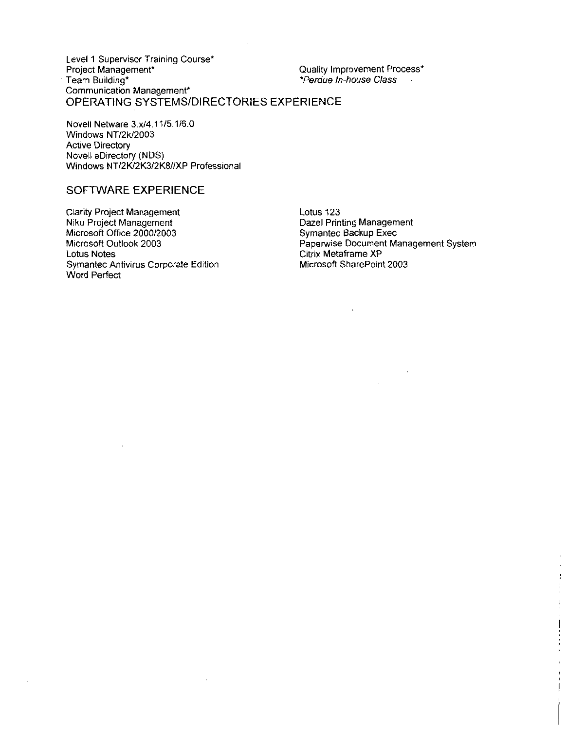Level <sup>1</sup> Supervisor Training Course Project Management\* Team Building Communication Management .<br>Communication Management\*<br>OPERATING SYSTEMS/DIRECTORIES EXPERIENCE sor Training Course\*<br>ment\*<br>Management\*<br>SYSTEMS/DIRE<br>3.x/4.11/5.1/6.0<br>/2003<br>y (NDS) Quality Improvement Process\*<br>\**Perdue In-house Class* 

Windows NT/2k/2003 Active Directory Novell Netware 1 ING 5 1 5<br>| ware 3.x/4.1<br>| NT/2k/2003<br>| ectory Novell eDirectory (NDS) Windows NT/2K/2K3/2K8//XP Professional

#### SOFTWARE EXPERIENCE

Clarity Project Management Niku Project Management Microsoft Office 2000/2003 Microsoft Outlook 2003 Lotus Notes Symantec Antivirus Corporate Edition Word Perfect

Lotus 123 Dazel Printing Management Symantec Backup Exec Paperwise Document Management System Citrix Metaframe XP Microsoft SharePoint 2003

> ŀ İ  $\frac{1}{\epsilon}$ Ì